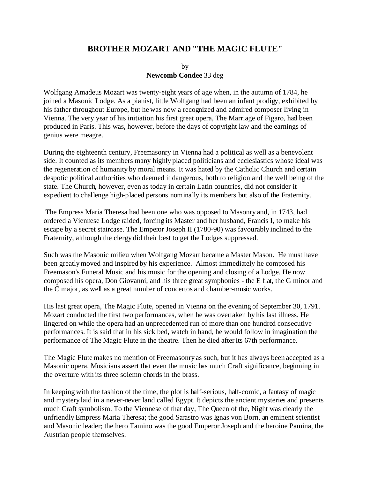## **BROTHER MOZART AND "THE MAGIC FLUTE"**

by **Newcomb Condee** 33 deg

Wolfgang Amadeus Mozart was twenty-eight years of age when, in the autumn of 1784, he joined a Masonic Lodge. As a pianist, little Wolfgang had been an infant prodigy, exhibited by his father throughout Europe, but he was now a recognized and admired composer living in Vienna. The very year of his initiation his first great opera, The Marriage of Figaro, had been produced in Paris. This was, however, before the days of copyright law and the earnings of genius were meagre.

During the eighteenth century, Freemasonry in Vienna had a political as well as a benevolent side. It counted as its members many highly placed politicians and ecclesiastics whose ideal was the regeneration of humanity by moral means. It was hated by the Catholic Church and certain despotic political authorities who deemed it dangerous, both to religion and the well being of the state. The Church, however, even as today in certain Latin countries, did not consider it expedient to challenge high-placed persons nominally its members but also of the Fraternity.

 The Empress Maria Theresa had been one who was opposed to Masonry and, in 1743, had ordered a Viennese Lodge raided, forcing its Master and her husband, Francis I, to make his escape by a secret staircase. The Emperor Joseph II (1780-90) was favourably inclined to the Fraternity, although the clergy did their best to get the Lodges suppressed.

Such was the Masonic milieu when Wolfgang Mozart became a Master Mason. He must have been greatly moved and inspired by his experience. Almost immediately he composed his Freemason's Funeral Music and his music for the opening and closing of a Lodge. He now composed his opera, Don Giovanni, and his three great symphonies - the E flat, the G minor and the C major, as well as a great number of concertos and chamber-music works.

His last great opera, The Magic Flute, opened in Vienna on the evening of September 30, 1791. Mozart conducted the first two performances, when he was overtaken by his last illness. He lingered on while the opera had an unprecedented run of more than one hundred consecutive performances. It is said that in his sick bed, watch in hand, he would follow in imagination the performance of The Magic Flute in the theatre. Then he died after its 67th performance.

The Magic Flute makes no mention of Freemasonry as such, but it has always been accepted as a Masonic opera. Musicians assert that even the music has much Craft significance, beginning in the overture with its three solemn chords in the brass.

In keeping with the fashion of the time, the plot is half-serious, half-comic, a fantasy of magic and mystery laid in a never-never land called Egypt. It depicts the ancient mysteries and presents much Craft symbolism. To the Viennese of that day, The Queen of the, Night was clearly the unfriendly Empress Maria Theresa; the good Sarastro was Ignas von Born, an eminent scientist and Masonic leader; the hero Tamino was the good Emperor Joseph and the heroine Pamina, the Austrian people themselves.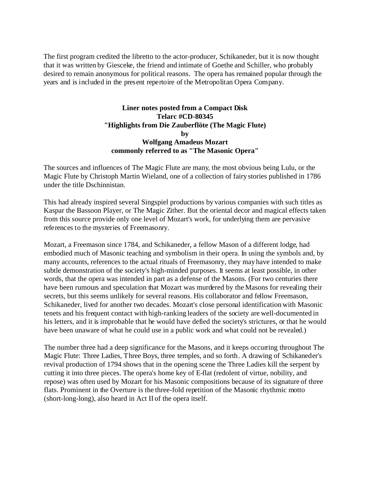The first program credited the libretto to the actor-producer, Schikaneder, but it is now thought that it was written by Giesceke, the friend and intimate of Goethe and Schiller, who probably desired to remain anonymous for political reasons. The opera has remained popular through the years and is included in the present repertoire of the Metropolitan Opera Company.

## **Liner notes posted from a Compact Disk Telarc #CD-80345 "Highlights from Die Zauberflöte (The Magic Flute) by Wolfgang Amadeus Mozart commonly referred to as "The Masonic Opera"**

The sources and influences of The Magic Flute are many, the most obvious being Lulu, or the Magic Flute by Christoph Martin Wieland, one of a collection of fairy stories published in 1786 under the title Dschinnistan.

This had already inspired several Singspiel productions by various companies with such titles as Kaspar the Bassoon Player, or The Magic Zither. But the oriental decor and magical effects taken from this source provide only one level of Mozart's work, for underlying them are pervasive references to the mysteries of Freemasonry.

Mozart, a Freemason since 1784, and Schikaneder, a fellow Mason of a different lodge, had embodied much of Masonic teaching and symbolism in their opera. In using the symbols and, by many accounts, references to the actual rituals of Freemasonry, they may have intended to make subtle demonstration of the society's high-minded purposes. It seems at least possible, in other words, that the opera was intended in part as a defense of the Masons. (For two centuries there have been rumours and speculation that Mozart was murdered by the Masons for revealing their secrets, but this seems unlikely for several reasons. His collaborator and fellow Freemason, Schikaneder, lived for another two decades. Mozart's close personal identification with Masonic tenets and his frequent contact with high-ranking leaders of the society are well-documented in his letters, and it is improbable that he would have defied the society's strictures, or that he would have been unaware of what he could use in a public work and what could not be revealed.)

The number three had a deep significance for the Masons, and it keeps occurring throughout The Magic Flute: Three Ladies, Three Boys, three temples, and so forth. A drawing of Schikaneder's revival production of 1794 shows that in the opening scene the Three Ladies kill the serpent by cutting it into three pieces. The opera's home key of E-flat (redolent of virtue, nobility, and repose) was often used by Mozart for his Masonic compositions because of its signature of three flats. Prominent in the Overture is the three-fold repetition of the Masonic rhythmic motto (short-long-long), also heard in Act II of the opera itself.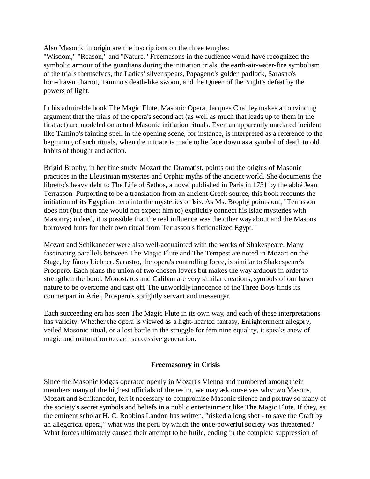Also Masonic in origin are the inscriptions on the three temples:

"Wisdom," "Reason," and "Nature." Freemasons in the audience would have recognized the symbolic armour of the guardians during the initiation trials, the earth-air-water-fire symbolism of the trials themselves, the Ladies' silver spears, Papageno's golden padlock, Sarastro's lion-drawn chariot, Tamino's death-like swoon, and the Queen of the Night's defeat by the powers of light.

In his admirable book The Magic Flute, Masonic Opera, Jacques Chailley makes a convincing argument that the trials of the opera's second act (as well as much that leads up to them in the first act) are modeled on actual Masonic initiation rituals. Even an apparently unrelated incident like Tamino's fainting spell in the opening scene, for instance, is interpreted as a reference to the beginning of such rituals, when the initiate is made to lie face down as a symbol of death to old habits of thought and action.

Brigid Brophy, in her fine study, Mozart the Dramatist, points out the origins of Masonic practices in the Eleusinian mysteries and Orphic myths of the ancient world. She documents the libretto's heavy debt to The Life of Sethos, a novel published in Paris in 1731 by the abbé Jean Terrasson Purporting to be a translation from an ancient Greek source, this book recounts the initiation of its Egyptian hero into the mysteries of Isis. As Ms. Brophy points out, "Terrasson does not (but then one would not expect him to) explicitly connect his Isiac mysteries with Masonry; indeed, it is possible that the real influence was the other way about and the Masons borrowed hints for their own ritual from Terrasson's fictionalized Egypt."

Mozart and Schikaneder were also well-acquainted with the works of Shakespeare. Many fascinating parallels between The Magic Flute and The Tempest are noted in Mozart on the Stage, by János Liebner. Sarastro, the opera's controlling force, is similar to Shakespeare's Prospero. Each plans the union of two chosen lovers but makes the way arduous in order to strengthen the bond. Monostatos and Caliban are very similar creations, symbols of our baser nature to be overcome and cast off. The unworldly innocence of the Three Boys finds its counterpart in Ariel, Prospero's sprightly servant and messenger.

Each succeeding era has seen The Magic Flute in its own way, and each of these interpretations has validity. Whether the opera is viewed as a light-hearted fantasy, Enlightenment allegory, veiled Masonic ritual, or a lost battle in the struggle for feminine equality, it speaks anew of magic and maturation to each successive generation.

## **Freemasonry in Crisis**

Since the Masonic lodges operated openly in Mozart's Vienna and numbered among their members many of the highest officials of the realm, we may ask ourselves why two Masons, Mozart and Schikaneder, felt it necessary to compromise Masonic silence and portray so many of the society's secret symbols and beliefs in a public entertainment like The Magic Flute. If they, as the eminent scholar H. C. Robbins Landon has written, "risked a long shot - to save the Craft by an allegorical opera," what was the peril by which the once-powerful society was threatened? What forces ultimately caused their attempt to be futile, ending in the complete suppression of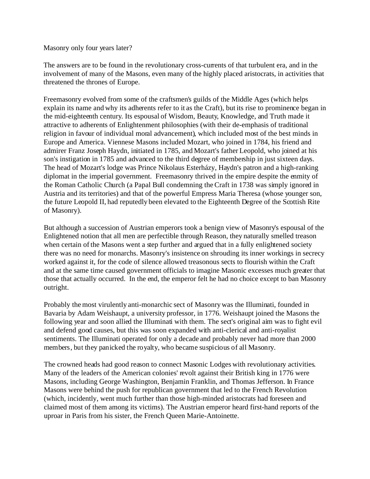Masonry only four years later?

The answers are to be found in the revolutionary cross-currents of that turbulent era, and in the involvement of many of the Masons, even many of the highly placed aristocrats, in activities that threatened the thrones of Europe.

Freemasonry evolved from some of the craftsmen's guilds of the Middle Ages (which helps explain its name and why its adherents refer to it as the Craft), but its rise to prominence began in the mid-eighteenth century. Its espousal of Wisdom, Beauty, Knowledge, and Truth made it attractive to adherents of Enlightenment philosophies (with their de-emphasis of traditional religion in favour of individual moral advancement), which included most of the best minds in Europe and America. Viennese Masons included Mozart, who joined in 1784, his friend and admirer Franz Joseph Haydn, initiated in 1785, and Mozart's father Leopold, who joined at his son's instigation in 1785 and advanced to the third degree of membership in just sixteen days. The head of Mozart's lodge was Prince Nikolaus Esterházy, Haydn's patron and a high-ranking diplomat in the imperial government. Freemasonry thrived in the empire despite the enmity of the Roman Catholic Church (a Papal Bull condemning the Craft in 1738 was simply ignored in Austria and its territories) and that of the powerful Empress Maria Theresa (whose younger son, the future Leopold II, had reputedly been elevated to the Eighteenth Degree of the Scottish Rite of Masonry).

But although a succession of Austrian emperors took a benign view of Masonry's espousal of the Enlightened notion that all men are perfectible through Reason, they naturally smelled treason when certain of the Masons went a step further and argued that in a fully enlightened society there was no need for monarchs. Masonry's insistence on shrouding its inner workings in secrecy worked against it, for the code of silence allowed treasonous sects to flourish within the Craft and at the same time caused government officials to imagine Masonic excesses much greater that those that actually occurred. In the end, the emperor felt he had no choice except to ban Masonry outright.

Probably the most virulently anti-monarchic sect of Masonry was the Illuminati, founded in Bavaria by Adam Weishaupt, a university professor, in 1776. Weishaupt joined the Masons the following year and soon allied the Illuminati with them. The sect's original aim was to fight evil and defend good causes, but this was soon expanded with anti-clerical and anti-royalist sentiments. The Illuminati operated for only a decade and probably never had more than 2000 members, but they panicked the royalty, who became suspicious of all Masonry.

The crowned heads had good reason to connect Masonic Lodges with revolutionary activities. Many of the leaders of the American colonies' revolt against their British king in 1776 were Masons, including George Washington, Benjamin Franklin, and Thomas Jefferson. In France Masons were behind the push for republican government that led to the French Revolution (which, incidently, went much further than those high-minded aristocrats had foreseen and claimed most of them among its victims). The Austrian emperor heard first-hand reports of the uproar in Paris from his sister, the French Queen Marie-Antoinette.